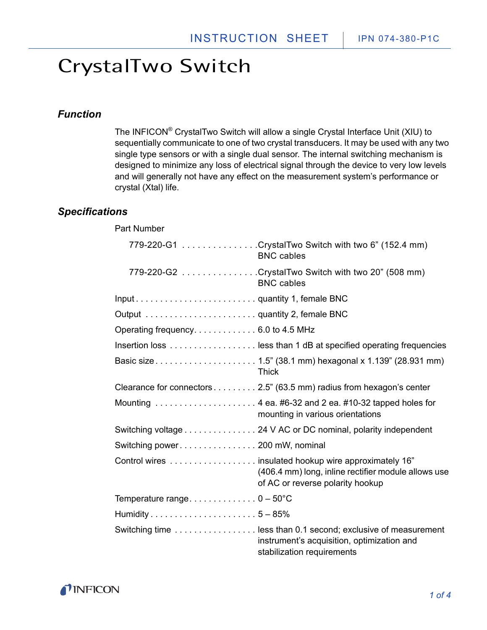Part Number

#### <span id="page-0-0"></span>*Function*

The INFICON® CrystalTwo Switch will allow a single Crystal Interface Unit (XIU) to sequentially communicate to one of two crystal transducers. It may be used with any two single type sensors or with a single dual sensor. The internal switching mechanism is designed to minimize any loss of electrical signal through the device to very low levels and will generally not have any effect on the measurement system's performance or crystal (Xtal) life.

#### *Specifications*

|                                      | 779-220-G1 CrystalTwo Switch with two 6" (152.4 mm)<br><b>BNC</b> cables                                                                          |
|--------------------------------------|---------------------------------------------------------------------------------------------------------------------------------------------------|
|                                      | 779-220-G2 CrystalTwo Switch with two 20" (508 mm)<br><b>BNC</b> cables                                                                           |
| Inputquantity 1, female BNC          |                                                                                                                                                   |
|                                      |                                                                                                                                                   |
| Operating frequency. 6.0 to 4.5 MHz  |                                                                                                                                                   |
|                                      | Insertion loss  less than 1 dB at specified operating frequencies                                                                                 |
|                                      | <b>Thick</b>                                                                                                                                      |
|                                      | Clearance for connectors 2.5" (63.5 mm) radius from hexagon's center                                                                              |
|                                      | Mounting $\ldots \ldots \ldots \ldots \ldots \ldots$ 4 ea. #6-32 and 2 ea. #10-32 tapped holes for<br>mounting in various orientations            |
|                                      | Switching voltage 24 V AC or DC nominal, polarity independent                                                                                     |
| Switching power 200 mW, nominal      |                                                                                                                                                   |
|                                      | Control wires  insulated hookup wire approximately 16"<br>(406.4 mm) long, inline rectifier module allows use<br>of AC or reverse polarity hookup |
| Temperature range $0 - 50^{\circ}$ C |                                                                                                                                                   |
|                                      |                                                                                                                                                   |
|                                      | Switching time  less than 0.1 second; exclusive of measurement<br>instrument's acquisition, optimization and<br>stabilization requirements        |

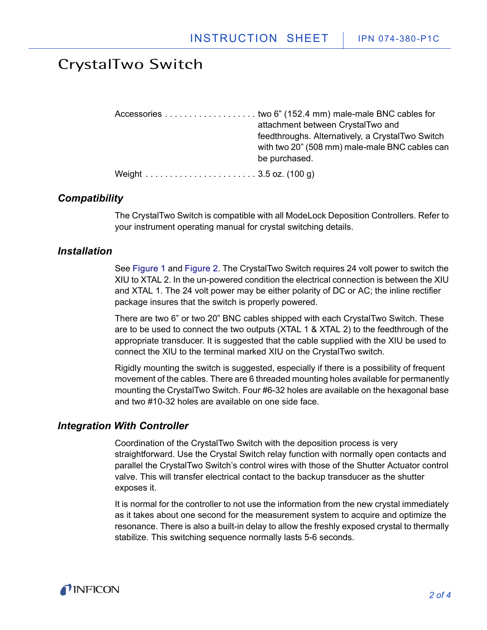|   | attachment between CrystalTwo and                |
|---|--------------------------------------------------|
|   | feedthroughs. Alternatively, a CrystalTwo Switch |
|   | with two 20" (508 mm) male-male BNC cables can   |
|   | be purchased.                                    |
| . | $\cdots$                                         |

Weight . . . . . . . . . . . . . . . . . . . . . . . 3.5 oz. (100 g)

#### *Compatibility*

The CrystalTwo Switch is compatible with all ModeLock Deposition Controllers. Refer to your instrument operating manual for crystal switching details.

#### *Installation*

See Figure 1 and Figure 2. The CrystalTwo Switch requires 24 volt power to switch the XIU to XTAL 2. In the un-powered condition the electrical connection is between the XIU and XTAL 1. The 24 volt power may be either polarity of DC or AC; the inline rectifier package insures that the switch is properly powered.

There are two 6" or two 20" BNC cables shipped with each CrystalTwo Switch. These are to be used to connect the two outputs (XTAL 1 & XTAL 2) to the feedthrough of the appropriate transducer. It is suggested that the cable supplied with the XIU be used to connect the XIU to the terminal marked XIU on the CrystalTwo switch.

Rigidly mounting the switch is suggested, especially if there is a possibility of frequent movement of the cables. There are 6 threaded mounting holes available for permanently mounting the CrystalTwo Switch. Four #6-32 holes are available on the hexagonal base and two #10-32 holes are available on one side face.

#### *Integration With Controller*

Coordination of the CrystalTwo Switch with the deposition process is very straightforward. Use the Crystal Switch relay function with normally open contacts and parallel the CrystalTwo Switch's control wires with those of the Shutter Actuator control valve. This will transfer electrical contact to the backup transducer as the shutter exposes it.

It is normal for the controller to not use the information from the new crystal immediately as it takes about one second for the measurement system to acquire and optimize the resonance. There is also a built-in delay to allow the freshly exposed crystal to thermally stabilize. This switching sequence normally lasts 5-6 seconds.

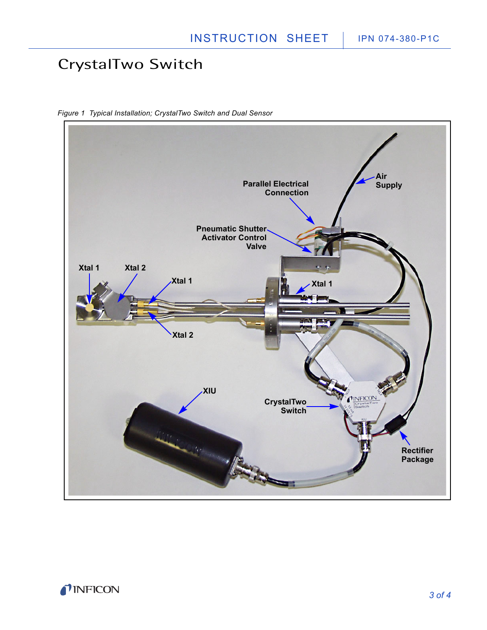